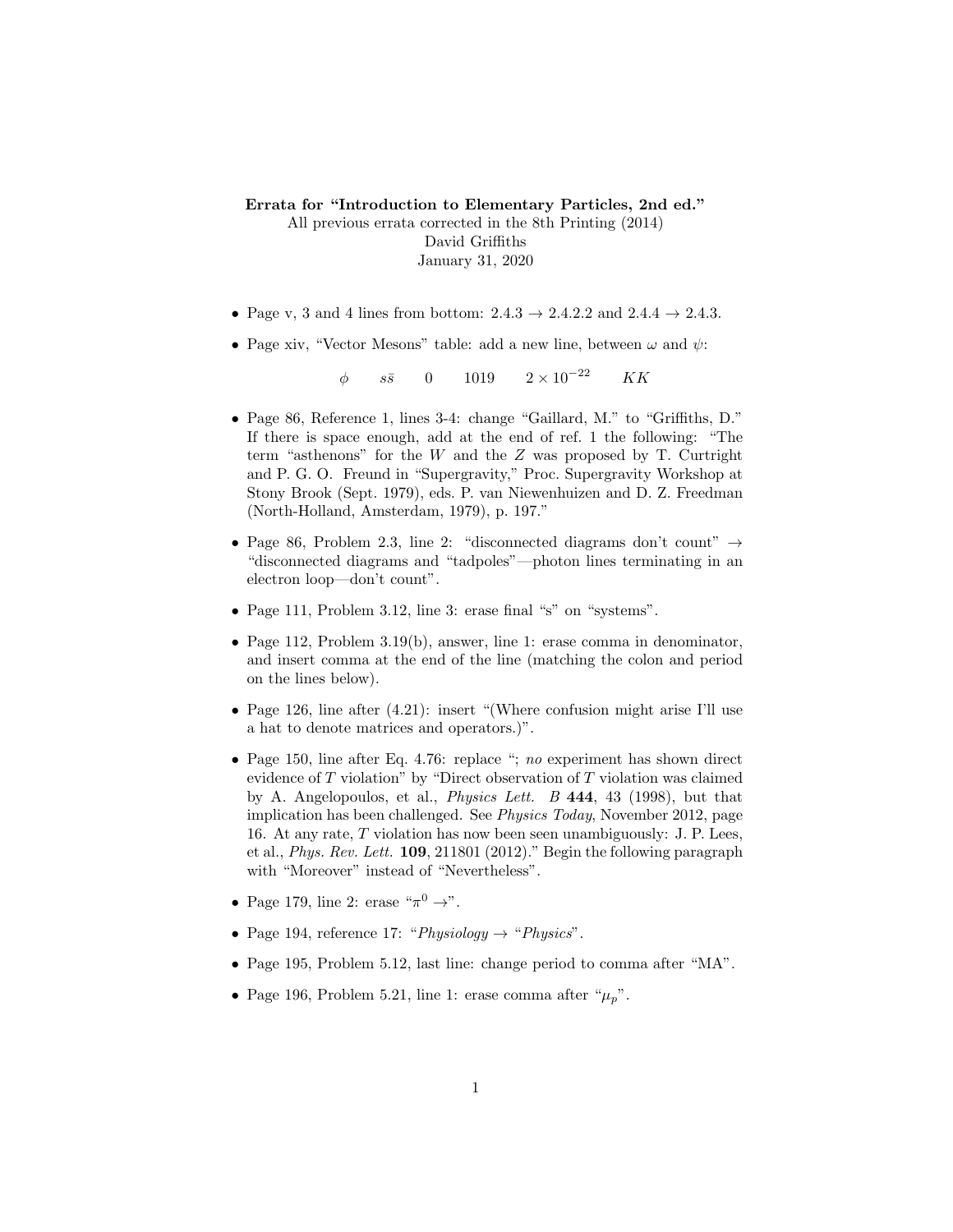Errata for "Introduction to Elementary Particles, 2nd ed." All previous errata corrected in the 8th Printing (2014)

David Griffiths January 31, 2020

- Page v, 3 and 4 lines from bottom:  $2.4.3 \rightarrow 2.4.2.2$  and  $2.4.4 \rightarrow 2.4.3$ .
- Page xiv, "Vector Mesons" table: add a new line, between  $\omega$  and  $\psi$ :

 $\phi$  ss 0 1019  $2 \times 10^{-22}$  KK

- Page 86, Reference 1, lines 3-4: change "Gaillard, M." to "Griffiths, D." If there is space enough, add at the end of ref. 1 the following: "The term "asthenons" for the  $W$  and the  $Z$  was proposed by T. Curtright and P. G. O. Freund in "Supergravity," Proc. Supergravity Workshop at Stony Brook (Sept. 1979), eds. P. van Niewenhuizen and D. Z. Freedman (North-Holland, Amsterdam, 1979), p. 197."
- Page 86, Problem 2.3, line 2: "disconnected diagrams don't count"  $\rightarrow$ "disconnected diagrams and "tadpoles"—photon lines terminating in an electron loop—don't count".
- Page 111, Problem 3.12, line 3: erase final "s" on "systems".
- Page 112, Problem 3.19(b), answer, line 1: erase comma in denominator, and insert comma at the end of the line (matching the colon and period on the lines below).
- Page 126, line after  $(4.21)$ : insert "(Where confusion might arise I'll use a hat to denote matrices and operators.)".
- Page 150, line after Eq. 4.76: replace "; no experiment has shown direct evidence of  $T$  violation" by "Direct observation of  $T$  violation was claimed by A. Angelopoulos, et al., Physics Lett. B 444, 43 (1998), but that implication has been challenged. See Physics Today, November 2012, page 16. At any rate, T violation has now been seen unambiguously: J. P. Lees, et al., Phys. Rev. Lett. 109, 211801 (2012)." Begin the following paragraph with "Moreover" instead of "Nevertheless".
- Page 179, line 2: erase " $\pi^0 \rightarrow$ ".
- Page 194, reference 17: "Physiology  $\rightarrow$  "Physics".
- Page 195, Problem 5.12, last line: change period to comma after "MA".
- Page 196, Problem 5.21, line 1: erase comma after " $\mu_p$ ".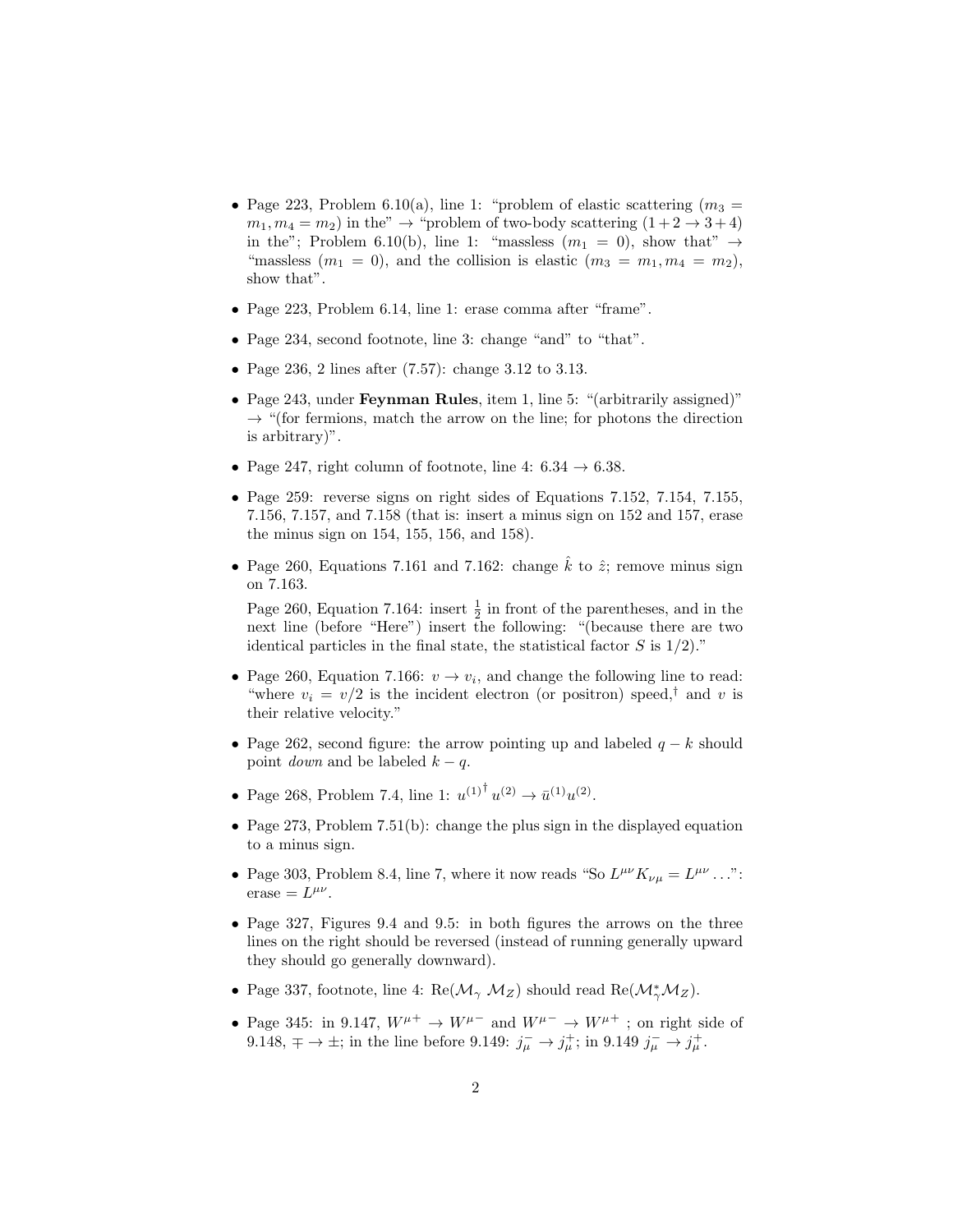- Page 223, Problem 6.10(a), line 1: "problem of elastic scattering  $(m_3 =$  $m_1, m_4 = m_2$ ) in the"  $\rightarrow$  "problem of two-body scattering  $(1+2 \rightarrow 3+4)$ in the"; Problem 6.10(b), line 1: "massless  $(m_1 = 0)$ , show that"  $\rightarrow$ "massless  $(m_1 = 0)$ , and the collision is elastic  $(m_3 = m_1, m_4 = m_2)$ , show that".
- Page 223, Problem 6.14, line 1: erase comma after "frame".
- Page 234, second footnote, line 3: change "and" to "that".
- Page 236, 2 lines after (7.57): change 3.12 to 3.13.
- Page 243, under **Feynman Rules**, item 1, line 5: "(arbitrarily assigned)"  $\rightarrow$  "(for fermions, match the arrow on the line; for photons the direction is arbitrary)".
- Page 247, right column of footnote, line 4:  $6.34 \rightarrow 6.38$ .
- Page 259: reverse signs on right sides of Equations 7.152, 7.154, 7.155, 7.156, 7.157, and 7.158 (that is: insert a minus sign on 152 and 157, erase the minus sign on 154, 155, 156, and 158).
- Page 260, Equations 7.161 and 7.162: change  $\hat{k}$  to  $\hat{z}$ ; remove minus sign on 7.163.

Page 260, Equation 7.164: insert  $\frac{1}{2}$  in front of the parentheses, and in the next line (before "Here") insert the following: "(because there are two identical particles in the final state, the statistical factor  $S$  is  $1/2$ )."

- Page 260, Equation 7.166:  $v \rightarrow v_i$ , and change the following line to read: "where  $v_i = v/2$  is the incident electron (or positron) speed,<sup>†</sup> and v is their relative velocity."
- Page 262, second figure: the arrow pointing up and labeled  $q k$  should point *down* and be labeled  $k - q$ .
- Page 268, Problem 7.4, line 1:  $u^{(1)^\dagger} u^{(2)} \to \bar{u}^{(1)} u^{(2)}$ .
- Page 273, Problem 7.51(b): change the plus sign in the displayed equation to a minus sign.
- Page 303, Problem 8.4, line 7, where it now reads "So  $L^{\mu\nu}K_{\nu\mu}=L^{\mu\nu} \dots$ ":  $\text{erase} = L^{\mu\nu}.$
- Page 327, Figures 9.4 and 9.5: in both figures the arrows on the three lines on the right should be reversed (instead of running generally upward they should go generally downward).
- Page 337, footnote, line 4:  $\text{Re}(\mathcal{M}_{\gamma} M_Z)$  should read  $\text{Re}(\mathcal{M}_{\gamma}^* M_Z)$ .
- Page 345: in 9.147,  $W^{\mu +} \rightarrow W^{\mu -}$  and  $W^{\mu -} \rightarrow W^{\mu +}$ ; on right side of 9.148,  $\mp \rightarrow \pm$ ; in the line before 9.149:  $j_{\mu}^- \rightarrow j_{\mu}^+$ ; in 9.149  $j_{\mu}^- \rightarrow j_{\mu}^+$ .